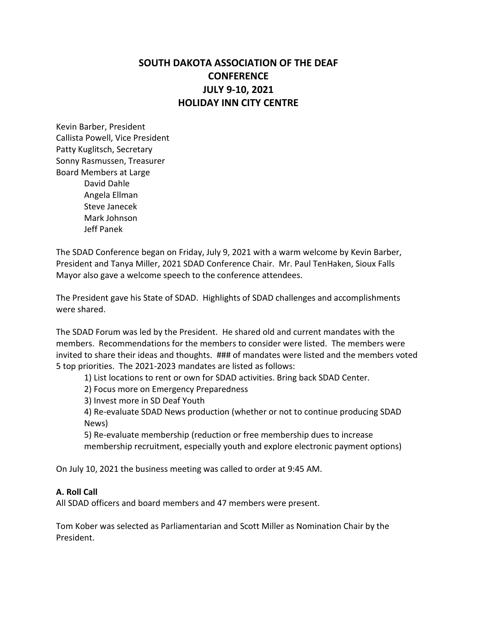# **SOUTH DAKOTA ASSOCIATION OF THE DEAF CONFERENCE JULY 9-10, 2021 HOLIDAY INN CITY CENTRE**

Kevin Barber, President Callista Powell, Vice President Patty Kuglitsch, Secretary Sonny Rasmussen, Treasurer Board Members at Large David Dahle Angela Ellman Steve Janecek Mark Johnson Jeff Panek

The SDAD Conference began on Friday, July 9, 2021 with a warm welcome by Kevin Barber, President and Tanya Miller, 2021 SDAD Conference Chair. Mr. Paul TenHaken, Sioux Falls Mayor also gave a welcome speech to the conference attendees.

The President gave his State of SDAD. Highlights of SDAD challenges and accomplishments were shared.

The SDAD Forum was led by the President. He shared old and current mandates with the members. Recommendations for the members to consider were listed. The members were invited to share their ideas and thoughts. ### of mandates were listed and the members voted 5 top priorities. The 2021-2023 mandates are listed as follows:

1) List locations to rent or own for SDAD activities. Bring back SDAD Center.

2) Focus more on Emergency Preparedness

3) Invest more in SD Deaf Youth

4) Re-evaluate SDAD News production (whether or not to continue producing SDAD News)

5) Re-evaluate membership (reduction or free membership dues to increase membership recruitment, especially youth and explore electronic payment options)

On July 10, 2021 the business meeting was called to order at 9:45 AM.

## **A. Roll Call**

All SDAD officers and board members and 47 members were present.

Tom Kober was selected as Parliamentarian and Scott Miller as Nomination Chair by the President.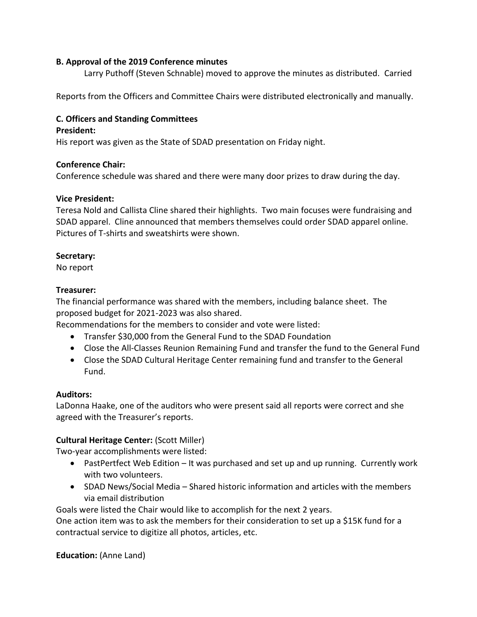#### **B. Approval of the 2019 Conference minutes**

Larry Puthoff (Steven Schnable) moved to approve the minutes as distributed. Carried

Reports from the Officers and Committee Chairs were distributed electronically and manually.

# **C. Officers and Standing Committees**

#### **President:**

His report was given as the State of SDAD presentation on Friday night.

#### **Conference Chair:**

Conference schedule was shared and there were many door prizes to draw during the day.

#### **Vice President:**

Teresa Nold and Callista Cline shared their highlights. Two main focuses were fundraising and SDAD apparel. Cline announced that members themselves could order SDAD apparel online. Pictures of T-shirts and sweatshirts were shown.

#### **Secretary:**

No report

#### **Treasurer:**

The financial performance was shared with the members, including balance sheet. The proposed budget for 2021-2023 was also shared.

Recommendations for the members to consider and vote were listed:

- Transfer \$30,000 from the General Fund to the SDAD Foundation
- Close the All-Classes Reunion Remaining Fund and transfer the fund to the General Fund
- Close the SDAD Cultural Heritage Center remaining fund and transfer to the General Fund.

#### **Auditors:**

LaDonna Haake, one of the auditors who were present said all reports were correct and she agreed with the Treasurer's reports.

## **Cultural Heritage Center:** (Scott Miller)

Two-year accomplishments were listed:

- PastPertfect Web Edition It was purchased and set up and up running. Currently work with two volunteers.
- SDAD News/Social Media Shared historic information and articles with the members via email distribution

Goals were listed the Chair would like to accomplish for the next 2 years.

One action item was to ask the members for their consideration to set up a \$15K fund for a contractual service to digitize all photos, articles, etc.

**Education:** (Anne Land)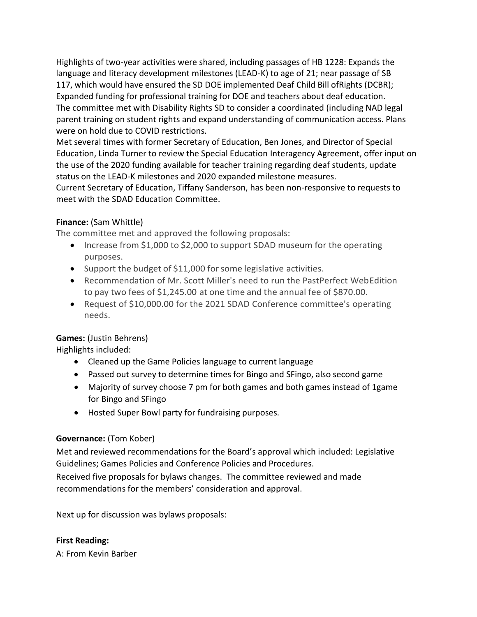Highlights of two-year activities were shared, including passages of HB 1228: Expands the language and literacy development milestones (LEAD-K) to age of 21; near passage of SB 117, which would have ensured the SD DOE implemented Deaf Child Bill ofRights (DCBR); Expanded funding for professional training for DOE and teachers about deaf education. The committee met with Disability Rights SD to consider a coordinated (including NAD legal parent training on student rights and expand understanding of communication access. Plans were on hold due to COVID restrictions.

Met several times with former Secretary of Education, Ben Jones, and Director of Special Education, Linda Turner to review the Special Education Interagency Agreement, offer input on the use of the 2020 funding available for teacher training regarding deaf students, update status on the LEAD-K milestones and 2020 expanded milestone measures.

Current Secretary of Education, Tiffany Sanderson, has been non-responsive to requests to meet with the SDAD Education Committee.

# **Finance:** (Sam Whittle)

The committee met and approved the following proposals:

- Increase from \$1,000 to \$2,000 to support SDAD museum for the operating purposes.
- Support the budget of \$11,000 for some legislative activities.
- Recommendation of Mr. Scott Miller's need to run the PastPerfect WebEdition to pay two fees of \$1,245.00 at one time and the annual fee of \$870.00.
- Request of \$10,000.00 for the 2021 SDAD Conference committee's operating needs.

# **Games:** (Justin Behrens)

Highlights included:

- Cleaned up the Game Policies language to current language
- Passed out survey to determine times for Bingo and SFingo, also second game
- Majority of survey choose 7 pm for both games and both games instead of 1game for Bingo and SFingo
- Hosted Super Bowl party for fundraising purposes.

# **Governance:** (Tom Kober)

Met and reviewed recommendations for the Board's approval which included: Legislative Guidelines; Games Policies and Conference Policies and Procedures.

Received five proposals for bylaws changes. The committee reviewed and made recommendations for the members' consideration and approval.

Next up for discussion was bylaws proposals:

## **First Reading:**

A: From Kevin Barber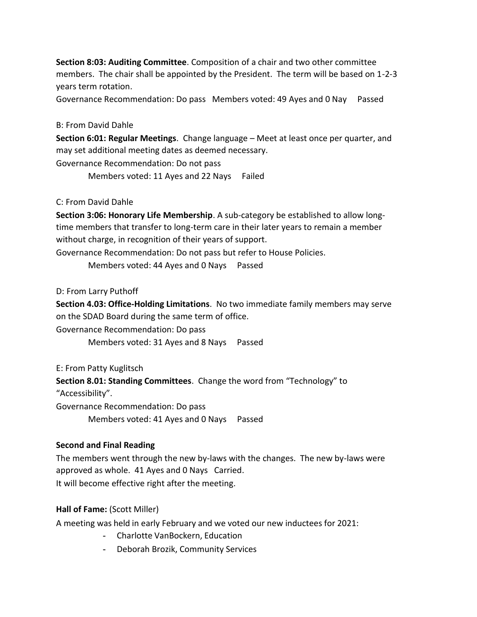**Section 8:03: Auditing Committee**. Composition of a chair and two other committee members. The chair shall be appointed by the President. The term will be based on 1-2-3 years term rotation.

Governance Recommendation: Do pass Members voted: 49 Ayes and 0 Nay Passed

#### B: From David Dahle

**Section 6:01: Regular Meetings**. Change language – Meet at least once per quarter, and may set additional meeting dates as deemed necessary.

Governance Recommendation: Do not pass

Members voted: 11 Ayes and 22 Nays Failed

#### C: From David Dahle

**Section 3:06: Honorary Life Membership**. A sub-category be established to allow longtime members that transfer to long-term care in their later years to remain a member without charge, in recognition of their years of support.

Governance Recommendation: Do not pass but refer to House Policies.

Members voted: 44 Ayes and 0 Nays Passed

D: From Larry Puthoff

**Section 4.03: Office-Holding Limitations**. No two immediate family members may serve on the SDAD Board during the same term of office.

Governance Recommendation: Do pass

Members voted: 31 Ayes and 8 Nays Passed

E: From Patty Kuglitsch

**Section 8.01: Standing Committees**. Change the word from "Technology" to "Accessibility".

Governance Recommendation: Do pass

Members voted: 41 Ayes and 0 Nays Passed

## **Second and Final Reading**

The members went through the new by-laws with the changes. The new by-laws were approved as whole. 41 Ayes and 0 Nays Carried. It will become effective right after the meeting.

## **Hall of Fame:** (Scott Miller)

A meeting was held in early February and we voted our new inductees for 2021:

- Charlotte VanBockern, Education
- Deborah Brozik, Community Services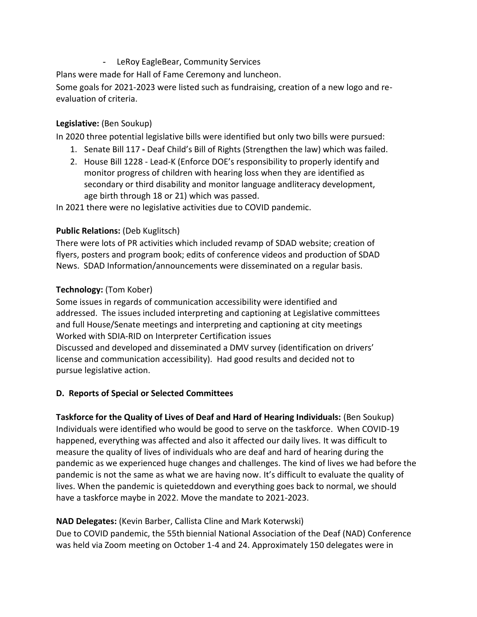- LeRoy EagleBear, Community Services

Plans were made for Hall of Fame Ceremony and luncheon.

Some goals for 2021-2023 were listed such as fundraising, creation of a new logo and reevaluation of criteria.

# **Legislative:** (Ben Soukup)

In 2020 three potential legislative bills were identified but only two bills were pursued:

- 1. Senate Bill 117 **-** Deaf Child's Bill of Rights (Strengthen the law) which was failed.
- 2. House Bill 1228 Lead-K (Enforce DOE's responsibility to properly identify and monitor progress of children with hearing loss when they are identified as secondary or third disability and monitor language andliteracy development, age birth through 18 or 21) which was passed.

In 2021 there were no legislative activities due to COVID pandemic.

# **Public Relations:** (Deb Kuglitsch)

There were lots of PR activities which included revamp of SDAD website; creation of flyers, posters and program book; edits of conference videos and production of SDAD News. SDAD Information/announcements were disseminated on a regular basis.

# **Technology:** (Tom Kober)

Some issues in regards of communication accessibility were identified and addressed. The issues included interpreting and captioning at Legislative committees and full House/Senate meetings and interpreting and captioning at city meetings Worked with SDIA-RID on Interpreter Certification issues Discussed and developed and disseminated a DMV survey (identification on drivers' license and communication accessibility). Had good results and decided not to pursue legislative action.

## **D. Reports of Special or Selected Committees**

**Taskforce for the Quality of Lives of Deaf and Hard of Hearing Individuals:** (Ben Soukup) Individuals were identified who would be good to serve on the taskforce. When COVID-19 happened, everything was affected and also it affected our daily lives. It was difficult to measure the quality of lives of individuals who are deaf and hard of hearing during the pandemic as we experienced huge changes and challenges. The kind of lives we had before the pandemic is not the same as what we are having now. It's difficult to evaluate the quality of lives. When the pandemic is quieteddown and everything goes back to normal, we should have a taskforce maybe in 2022. Move the mandate to 2021-2023.

# **NAD Delegates:** (Kevin Barber, Callista Cline and Mark Koterwski)

Due to COVID pandemic, the 55th biennial National Association of the Deaf (NAD) Conference was held via Zoom meeting on October 1-4 and 24. Approximately 150 delegates were in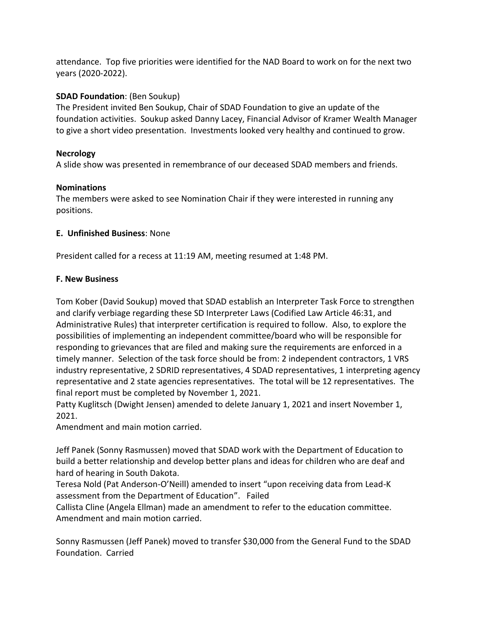attendance. Top five priorities were identified for the NAD Board to work on for the next two years (2020-2022).

## **SDAD Foundation**: (Ben Soukup)

The President invited Ben Soukup, Chair of SDAD Foundation to give an update of the foundation activities. Soukup asked Danny Lacey, Financial Advisor of Kramer Wealth Manager to give a short video presentation. Investments looked very healthy and continued to grow.

## **Necrology**

A slide show was presented in remembrance of our deceased SDAD members and friends.

# **Nominations**

The members were asked to see Nomination Chair if they were interested in running any positions.

# **E. Unfinished Business**: None

President called for a recess at 11:19 AM, meeting resumed at 1:48 PM.

# **F. New Business**

Tom Kober (David Soukup) moved that SDAD establish an Interpreter Task Force to strengthen and clarify verbiage regarding these SD Interpreter Laws (Codified Law Article 46:31, and Administrative Rules) that interpreter certification is required to follow. Also, to explore the possibilities of implementing an independent committee/board who will be responsible for responding to grievances that are filed and making sure the requirements are enforced in a timely manner. Selection of the task force should be from: 2 independent contractors, 1 VRS industry representative, 2 SDRID representatives, 4 SDAD representatives, 1 interpreting agency representative and 2 state agencies representatives. The total will be 12 representatives. The final report must be completed by November 1, 2021.

Patty Kuglitsch (Dwight Jensen) amended to delete January 1, 2021 and insert November 1, 2021.

Amendment and main motion carried.

Jeff Panek (Sonny Rasmussen) moved that SDAD work with the Department of Education to build a better relationship and develop better plans and ideas for children who are deaf and hard of hearing in South Dakota.

Teresa Nold (Pat Anderson-O'Neill) amended to insert "upon receiving data from Lead-K assessment from the Department of Education". Failed

Callista Cline (Angela Ellman) made an amendment to refer to the education committee. Amendment and main motion carried.

Sonny Rasmussen (Jeff Panek) moved to transfer \$30,000 from the General Fund to the SDAD Foundation. Carried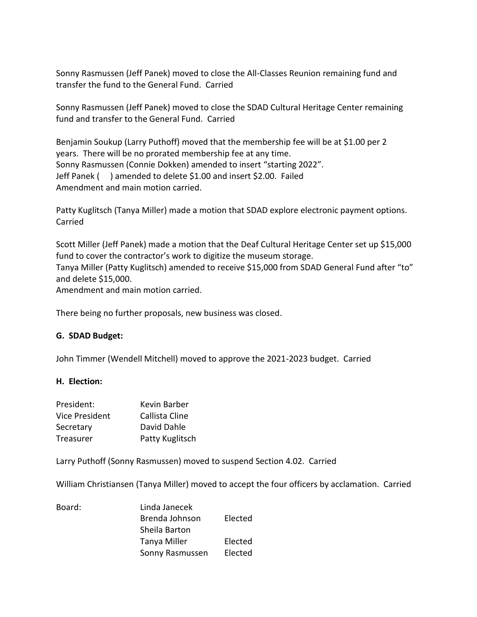Sonny Rasmussen (Jeff Panek) moved to close the All-Classes Reunion remaining fund and transfer the fund to the General Fund. Carried

Sonny Rasmussen (Jeff Panek) moved to close the SDAD Cultural Heritage Center remaining fund and transfer to the General Fund. Carried

Benjamin Soukup (Larry Puthoff) moved that the membership fee will be at \$1.00 per 2 years. There will be no prorated membership fee at any time. Sonny Rasmussen (Connie Dokken) amended to insert "starting 2022". Jeff Panek ( ) amended to delete \$1.00 and insert \$2.00. Failed Amendment and main motion carried.

Patty Kuglitsch (Tanya Miller) made a motion that SDAD explore electronic payment options. Carried

Scott Miller (Jeff Panek) made a motion that the Deaf Cultural Heritage Center set up \$15,000 fund to cover the contractor's work to digitize the museum storage. Tanya Miller (Patty Kuglitsch) amended to receive \$15,000 from SDAD General Fund after "to" and delete \$15,000. Amendment and main motion carried.

There being no further proposals, new business was closed.

#### **G. SDAD Budget:**

John Timmer (Wendell Mitchell) moved to approve the 2021-2023 budget. Carried

#### **H. Election:**

| President:     | Kevin Barber    |
|----------------|-----------------|
| Vice President | Callista Cline  |
| Secretary      | David Dahle     |
| Treasurer      | Patty Kuglitsch |

Larry Puthoff (Sonny Rasmussen) moved to suspend Section 4.02. Carried

William Christiansen (Tanya Miller) moved to accept the four officers by acclamation. Carried

| Board: | Linda Janecek   |         |
|--------|-----------------|---------|
|        | Brenda Johnson  | Elected |
|        | Sheila Barton   |         |
|        | Tanya Miller    | Elected |
|        | Sonny Rasmussen | Elected |